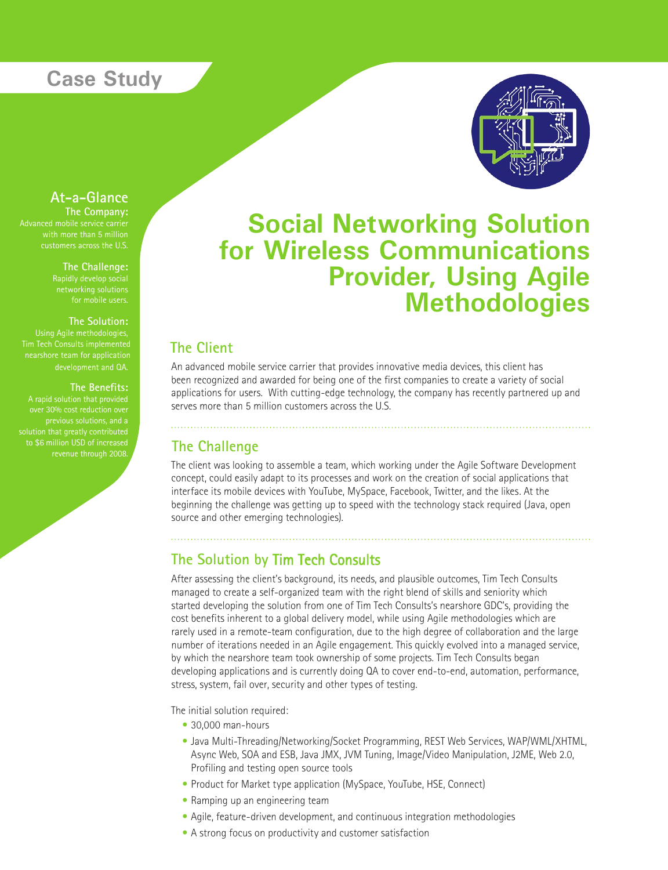# **Case Study**



### **At-a-Glance**

with more than 5 million<br>customers across the U.S. **The Company:** Advanced mobile service carrier with more than 5 million

**The Challenge:** 

#### **The Solution:**

Tim Tech Consults implemented nearshore team for application development and QA.

#### **The Benefits:**

to \$6 million USD of increased revenue through 2008.

# **Social Networking Solution for Wireless Communications Provider, Using Agile Methodologies**

### **The Client**

An advanced mobile service carrier that provides innovative media devices, this client has been recognized and awarded for being one of the first companies to create a variety of social applications for users. With cutting-edge technology, the company has recently partnered up and serves more than 5 million customers across the U.S.

#### **The Challenge**

The client was looking to assemble a team, which working under the Agile Software Development concept, could easily adapt to its processes and work on the creation of social applications that interface its mobile devices with YouTube, MySpace, Facebook, Twitter, and the likes. At the beginning the challenge was getting up to speed with the technology stack required (Java, open source and other emerging technologies).

## **The Solution by** Tim Tech Consults

After assessing the client's background, its needs, and plausible outcomes, Tim Tech Consults managed to create a self-organized team with the right blend of skills and seniority which started developing the solution from one of Tim Tech Consults's nearshore GDC's, providing the cost benefits inherent to a global delivery model, while using Agile methodologies which are rarely used in a remote-team configuration, due to the high degree of collaboration and the large number of iterations needed in an Agile engagement. This quickly evolved into a managed service, by which the nearshore team took ownership of some projects. Tim Tech Consults began developing applications and is currently doing QA to cover end-to-end, automation, performance, stress, system, fail over, security and other types of testing.

The initial solution required:

- 30,000 man-hours
- Java Multi-Threading/Networking/Socket Programming, REST Web Services, WAP/WML/XHTML, Async Web, SOA and ESB, Java JMX, JVM Tuning, Image/Video Manipulation, J2ME, Web 2.0, Profiling and testing open source tools
- Product for Market type application (MySpace, YouTube, HSE, Connect)
- Ramping up an engineering team
- Agile, feature-driven development, and continuous integration methodologies •
- A strong focus on productivity and customer satisfaction •